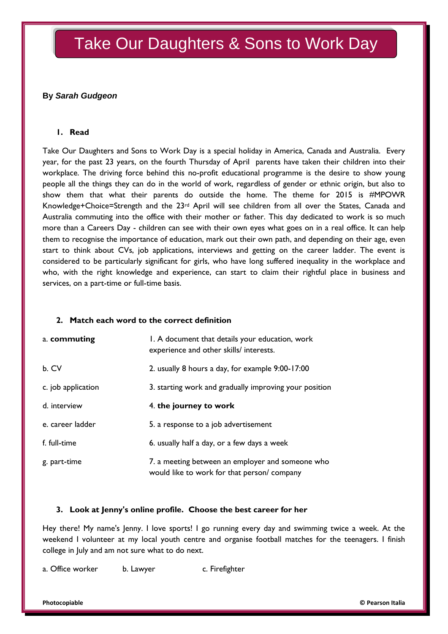# Take Our Daughters & Sons to Work Day

## **By** *Sarah Gudgeon*

### **1. Read**

Take Our Daughters and Sons to Work Day is a special holiday in America, Canada and Australia. Every year, for the past 23 years, on the fourth Thursday of April parents have taken their children into their workplace. The driving force behind this no-profit educational programme is the desire to show young people all the things they can do in the world of work, regardless of gender or ethnic origin, but also to show them that what their parents do outside the home. The theme for 2015 is #MPOWR Knowledge+Choice=Strength and the 23rd April will see children from all over the States, Canada and Australia commuting into the office with their mother or father. This day dedicated to work is so much more than a Careers Day - children can see with their own eyes what goes on in a real office. It can help them to recognise the importance of education, mark out their own path, and depending on their age, even start to think about CVs, job applications, interviews and getting on the career ladder. The event is considered to be particularly significant for girls, who have long suffered inequality in the workplace and who, with the right knowledge and experience, can start to claim their rightful place in business and services, on a part-time or full-time basis.

#### **2. Match each word to the correct definition**

| a. commuting       | I. A document that details your education, work<br>experience and other skills/ interests.     |
|--------------------|------------------------------------------------------------------------------------------------|
| b. CV              | 2. usually 8 hours a day, for example 9:00-17:00                                               |
| c. job application | 3. starting work and gradually improving your position                                         |
| d. interview       | 4. the journey to work                                                                         |
| e. career ladder   | 5. a response to a job advertisement                                                           |
| f. full-time       | 6. usually half a day, or a few days a week                                                    |
| g. part-time       | 7. a meeting between an employer and someone who<br>would like to work for that person/company |

#### **3. Look at Jenny's online profile. Choose the best career for her**

Hey there! My name's Jenny. I love sports! I go running every day and swimming twice a week. At the weekend I volunteer at my local youth centre and organise football matches for the teenagers. I finish college in July and am not sure what to do next.

a. Office worker b. Lawyer c. Firefighter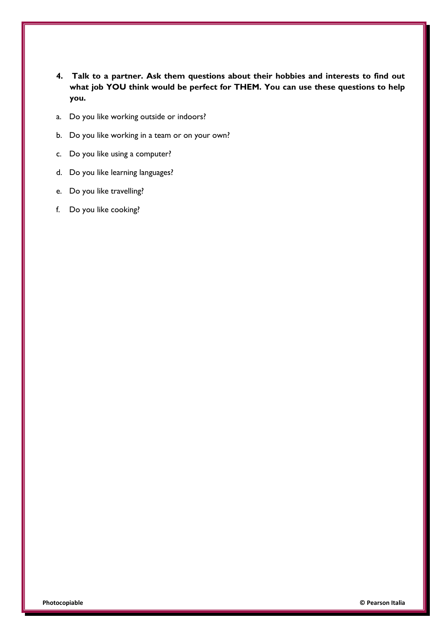- **4. Talk to a partner. Ask them questions about their hobbies and interests to find out what job YOU think would be perfect for THEM. You can use these questions to help you.**
- a. Do you like working outside or indoors?
- b. Do you like working in a team or on your own?
- c. Do you like using a computer?
- d. Do you like learning languages?
- e. Do you like travelling?
- f. Do you like cooking?